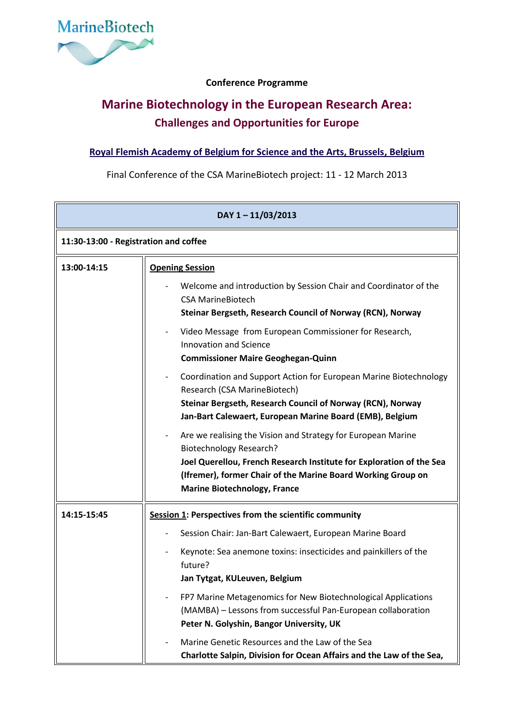

## **Conference Programme**

## **Marine Biotechnology in the European Research Area: Challenges and Opportunities for Europe**

## **[Royal Flemish Academy of Belgium for Science and the Arts, Brussels,](http://www.kvab.be/Default.aspx?lang=en) Belgium**

Final Conference of the CSA MarineBiotech project: 11 - 12 March 2013

| DAY 1-11/03/2013                      |                                                                                                                                                                                                                                                                               |  |  |
|---------------------------------------|-------------------------------------------------------------------------------------------------------------------------------------------------------------------------------------------------------------------------------------------------------------------------------|--|--|
| 11:30-13:00 - Registration and coffee |                                                                                                                                                                                                                                                                               |  |  |
| 13:00-14:15                           | <b>Opening Session</b>                                                                                                                                                                                                                                                        |  |  |
|                                       | Welcome and introduction by Session Chair and Coordinator of the<br><b>CSA MarineBiotech</b><br>Steinar Bergseth, Research Council of Norway (RCN), Norway                                                                                                                    |  |  |
|                                       | Video Message from European Commissioner for Research,<br><b>Innovation and Science</b><br><b>Commissioner Maire Geoghegan-Quinn</b>                                                                                                                                          |  |  |
|                                       | Coordination and Support Action for European Marine Biotechnology<br>$\overline{\phantom{a}}$<br>Research (CSA MarineBiotech)<br>Steinar Bergseth, Research Council of Norway (RCN), Norway<br>Jan-Bart Calewaert, European Marine Board (EMB), Belgium                       |  |  |
|                                       | Are we realising the Vision and Strategy for European Marine<br><b>Biotechnology Research?</b><br>Joel Querellou, French Research Institute for Exploration of the Sea<br>(Ifremer), former Chair of the Marine Board Working Group on<br><b>Marine Biotechnology, France</b> |  |  |
| 14:15-15:45                           | <b>Session 1: Perspectives from the scientific community</b>                                                                                                                                                                                                                  |  |  |
|                                       | Session Chair: Jan-Bart Calewaert, European Marine Board                                                                                                                                                                                                                      |  |  |
|                                       | Keynote: Sea anemone toxins: insecticides and painkillers of the<br>future?<br>Jan Tytgat, KULeuven, Belgium                                                                                                                                                                  |  |  |
|                                       | FP7 Marine Metagenomics for New Biotechnological Applications<br>(MAMBA) - Lessons from successful Pan-European collaboration<br>Peter N. Golyshin, Bangor University, UK                                                                                                     |  |  |
|                                       | Marine Genetic Resources and the Law of the Sea<br>Charlotte Salpin, Division for Ocean Affairs and the Law of the Sea,                                                                                                                                                       |  |  |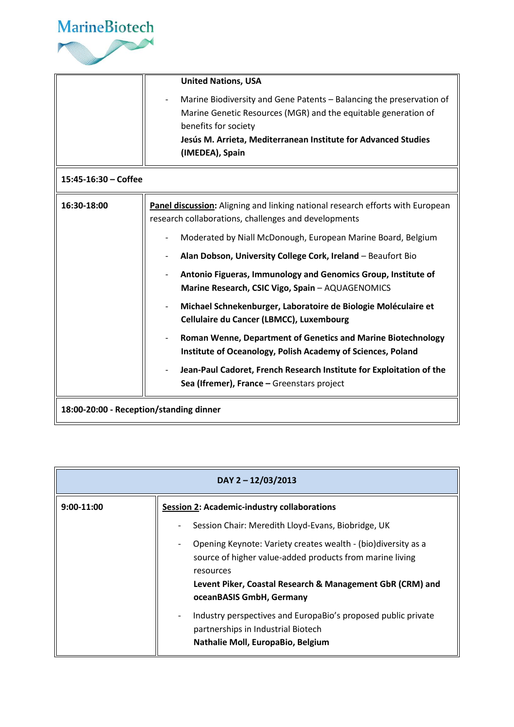

|                                         | <b>United Nations, USA</b>                                                                                                                                                                                                                          |  |
|-----------------------------------------|-----------------------------------------------------------------------------------------------------------------------------------------------------------------------------------------------------------------------------------------------------|--|
|                                         | Marine Biodiversity and Gene Patents - Balancing the preservation of<br>Marine Genetic Resources (MGR) and the equitable generation of<br>benefits for society<br>Jesús M. Arrieta, Mediterranean Institute for Advanced Studies<br>(IMEDEA), Spain |  |
| $15:45-16:30$ – Coffee                  |                                                                                                                                                                                                                                                     |  |
| 16:30-18:00                             | Panel discussion: Aligning and linking national research efforts with European<br>research collaborations, challenges and developments                                                                                                              |  |
|                                         | Moderated by Niall McDonough, European Marine Board, Belgium                                                                                                                                                                                        |  |
|                                         | Alan Dobson, University College Cork, Ireland - Beaufort Bio                                                                                                                                                                                        |  |
|                                         | Antonio Figueras, Immunology and Genomics Group, Institute of<br>Marine Research, CSIC Vigo, Spain - AQUAGENOMICS                                                                                                                                   |  |
|                                         | Michael Schnekenburger, Laboratoire de Biologie Moléculaire et<br>Cellulaire du Cancer (LBMCC), Luxembourg                                                                                                                                          |  |
|                                         | Roman Wenne, Department of Genetics and Marine Biotechnology<br>Institute of Oceanology, Polish Academy of Sciences, Poland                                                                                                                         |  |
|                                         | Jean-Paul Cadoret, French Research Institute for Exploitation of the<br>Sea (Ifremer), France - Greenstars project                                                                                                                                  |  |
| 18:00-20:00 - Reception/standing dinner |                                                                                                                                                                                                                                                     |  |

| DAY 2 - 12/03/2013                                                                                                                                                                                                                                                                                                                                                                                                                                                                                      |  |  |
|---------------------------------------------------------------------------------------------------------------------------------------------------------------------------------------------------------------------------------------------------------------------------------------------------------------------------------------------------------------------------------------------------------------------------------------------------------------------------------------------------------|--|--|
| <b>Session 2: Academic-industry collaborations</b><br>$9:00-11:00$<br>Session Chair: Meredith Lloyd-Evans, Biobridge, UK<br>Opening Keynote: Variety creates wealth - (bio)diversity as a<br>source of higher value-added products from marine living<br>resources<br>Levent Piker, Coastal Research & Management GbR (CRM) and<br>oceanBASIS GmbH, Germany<br>Industry perspectives and EuropaBio's proposed public private<br>partnerships in Industrial Biotech<br>Nathalie Moll, EuropaBio, Belgium |  |  |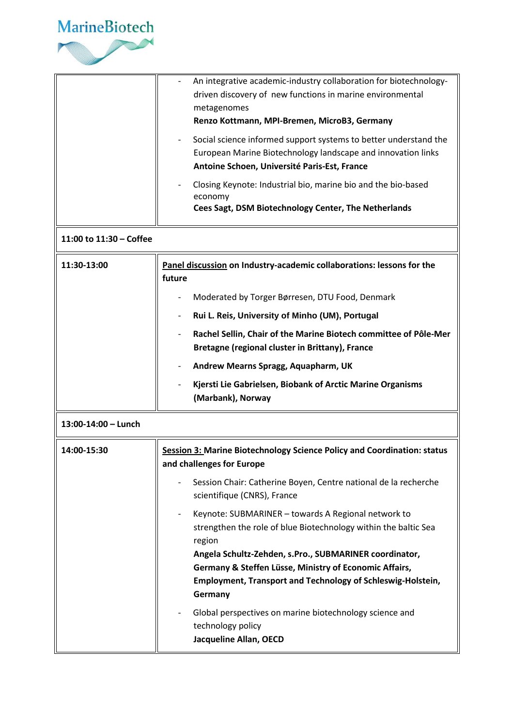

|                         | An integrative academic-industry collaboration for biotechnology-<br>driven discovery of new functions in marine environmental<br>metagenomes<br>Renzo Kottmann, MPI-Bremen, MicroB3, Germany<br>Social science informed support systems to better understand the<br>European Marine Biotechnology landscape and innovation links<br>Antoine Schoen, Université Paris-Est, France<br>Closing Keynote: Industrial bio, marine bio and the bio-based<br>economy<br>Cees Sagt, DSM Biotechnology Center, The Netherlands |  |
|-------------------------|-----------------------------------------------------------------------------------------------------------------------------------------------------------------------------------------------------------------------------------------------------------------------------------------------------------------------------------------------------------------------------------------------------------------------------------------------------------------------------------------------------------------------|--|
| 11:00 to 11:30 - Coffee |                                                                                                                                                                                                                                                                                                                                                                                                                                                                                                                       |  |
| 11:30-13:00             | Panel discussion on Industry-academic collaborations: lessons for the<br>future                                                                                                                                                                                                                                                                                                                                                                                                                                       |  |
|                         | Moderated by Torger Børresen, DTU Food, Denmark                                                                                                                                                                                                                                                                                                                                                                                                                                                                       |  |
|                         | Rui L. Reis, University of Minho (UM), Portugal                                                                                                                                                                                                                                                                                                                                                                                                                                                                       |  |
|                         | Rachel Sellin, Chair of the Marine Biotech committee of Pôle-Mer<br>Bretagne (regional cluster in Brittany), France                                                                                                                                                                                                                                                                                                                                                                                                   |  |
|                         | Andrew Mearns Spragg, Aquapharm, UK                                                                                                                                                                                                                                                                                                                                                                                                                                                                                   |  |
|                         | Kjersti Lie Gabrielsen, Biobank of Arctic Marine Organisms<br>(Marbank), Norway                                                                                                                                                                                                                                                                                                                                                                                                                                       |  |
| 13:00-14:00 - Lunch     |                                                                                                                                                                                                                                                                                                                                                                                                                                                                                                                       |  |
| 14:00-15:30             | <b>Session 3: Marine Biotechnology Science Policy and Coordination: status</b><br>and challenges for Europe                                                                                                                                                                                                                                                                                                                                                                                                           |  |
|                         | Session Chair: Catherine Boyen, Centre national de la recherche<br>scientifique (CNRS), France                                                                                                                                                                                                                                                                                                                                                                                                                        |  |
|                         | Keynote: SUBMARINER - towards A Regional network to<br>$\overline{\phantom{a}}$<br>strengthen the role of blue Biotechnology within the baltic Sea<br>region<br>Angela Schultz-Zehden, s.Pro., SUBMARINER coordinator,<br>Germany & Steffen Lüsse, Ministry of Economic Affairs,<br>Employment, Transport and Technology of Schleswig-Holstein,<br>Germany<br>Global perspectives on marine biotechnology science and                                                                                                 |  |
|                         | technology policy<br>Jacqueline Allan, OECD                                                                                                                                                                                                                                                                                                                                                                                                                                                                           |  |